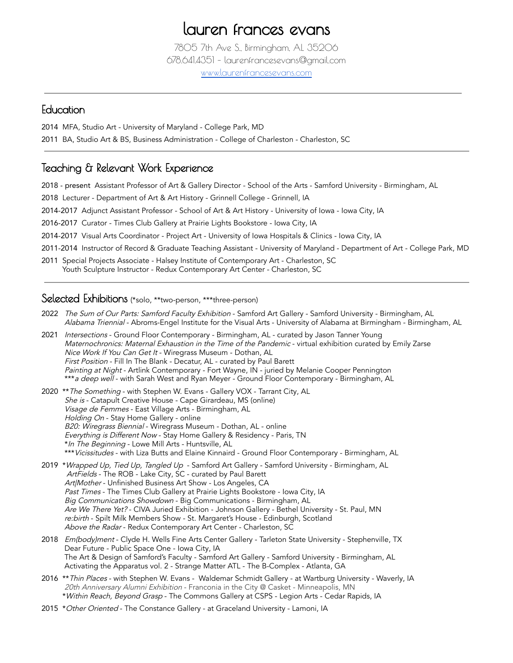# lauren frances evans

7805 7th Ave S., Birmingham, AL 35206 678.641.4351 – laurenfrancesevans@gmail.com [www.laurenfrancesevans.com](http://www.laurenfrancesevans.com)

#### Education

2014 MFA, Studio Art - University of Maryland - College Park, MD

2011 BA, Studio Art & BS, Business Administration - College of Charleston - Charleston, SC

## Teaching & Relevant Work Experience

- 2018 present Assistant Professor of Art & Gallery Director School of the Arts Samford University Birmingham, AL
- 2018 Lecturer Department of Art & Art History Grinnell College Grinnell, IA
- 2014-2017 Adjunct Assistant Professor School of Art & Art History University of Iowa Iowa City, IA
- 2016-2017 Curator Times Club Gallery at Prairie Lights Bookstore Iowa City, IA
- 2014-2017 Visual Arts Coordinator Project Art University of Iowa Hospitals & Clinics Iowa City, IA
- 2011-2014 Instructor of Record & Graduate Teaching Assistant University of Maryland Department of Art College Park, MD
- 2011 Special Projects Associate Halsey Institute of Contemporary Art Charleston, SC Youth Sculpture Instructor - Redux Contemporary Art Center - Charleston, SC

## Selected Exhibitions (\*solo, \*\*two-person, \*\*\*three-person)

- 2022 The Sum of Our Parts: Samford Faculty Exhibition Samford Art Gallery Samford University Birmingham, AL Alabama Triennial - Abroms-Engel Institute for the Visual Arts - University of Alabama at Birmingham - Birmingham, AL
- 2021 Intersections Ground Floor Contemporary Birmingham, AL curated by Jason Tanner Young Maternochronics: Maternal Exhaustion in the Time of the Pandemic - virtual exhibition curated by Emily Zarse Nice Work If You Can Get It - Wiregrass Museum - Dothan, AL First Position - Fill In The Blank - Decatur, AL - curated by Paul Barett Painting at Night - Artlink Contemporary - Fort Wayne, IN - juried by Melanie Cooper Pennington \*\*\*a deep well - with Sarah West and Ryan Meyer - Ground Floor Contemporary - Birmingham, AL
- 2020 \*\* The Something with Stephen W. Evans Gallery VOX Tarrant City, AL She is - Catapult Creative House - Cape Girardeau, MS (online) Visage de Femmes - East Village Arts - Birmingham, AL Holding On - Stay Home Gallery - online B20: Wiregrass Biennial - Wiregrass Museum - Dothan, AL - online Everything is Different Now - Stay Home Gallery & Residency - Paris, TN \*In The Beginning - Lowe Mill Arts - Huntsville, AL \*\*\* Vicissitudes - with Liza Butts and Elaine Kinnaird - Ground Floor Contemporary - Birmingham, AL
- 2019 *\*Wrapped Up, Tied Up, Tangled Up -* Samford Art Gallery Samford University Birmingham, AL ArtFields - The ROB - Lake City, SC - curated by Paul Barett Art|Mother - Unfinished Business Art Show - Los Angeles, CA Past Times - The Times Club Gallery at Prairie Lights Bookstore - Iowa City, IA Big Communications Showdown - Big Communications - Birmingham, AL Are We There Yet? - CIVA Juried Exhibition - Johnson Gallery - Bethel University - St. Paul, MN re:birth - Spilt Milk Members Show - St. Margaret's House - Edinburgh, Scotland Abo*ve the Radar* - Redux Contemporary Art Center - Charleston, SC
- 2018 Em(body)ment Clyde H. Wells Fine Arts Center Gallery Tarleton State University Stephenville, TX Dear Future - Public Space One - Iowa City, IA The Art & Design of Samford's Faculty - Samford Art Gallery - Samford University - Birmingham, AL Activating the Apparatus vol. 2 - Strange Matter ATL - The B-Complex - Atlanta, GA
- 2016 \*\* Thin Places with Stephen W. Evans Waldemar Schmidt Gallery at Wartburg University Waverly, IA 20th Anniversary Alumni Exhibition - Franconia in the City @ Casket - Minneapolis, MN \*Within Reach, Beyond Grasp - The Commons Gallery at CSPS - Legion Arts - Cedar Rapids, IA
- 2015 *\*Other Oriented* The Constance Gallery at Graceland University Lamoni, IA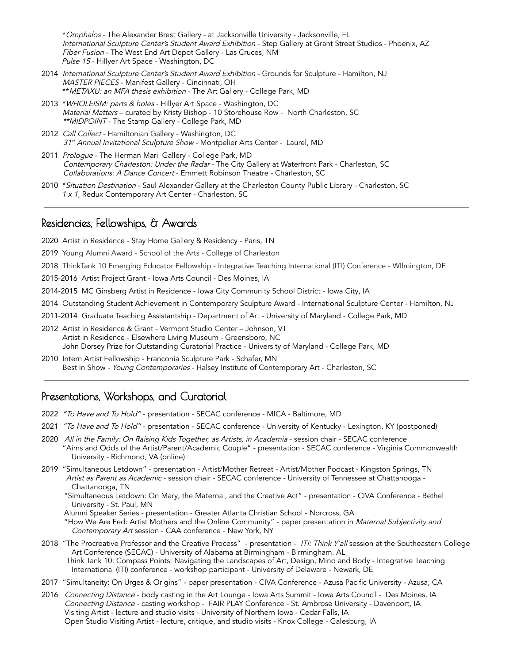\*Omphalos - The Alexander Brest Gallery - at Jacksonville University - Jacksonville, FL International Sculpture Center's Student Award Exhibition - Step Gallery at Grant Street Studios - Phoenix, AZ Fiber Fusion - The West End Art Depot Gallery - Las Cruces, NM Pulse 15 - Hillyer Art Space - Washington, DC

- 2014 International Sculpture Center's Student Award Exhibition Grounds for Sculpture Hamilton, NJ MASTER PIECES - Manifest Gallery - Cincinnati, OH \*\* METAXU: an MFA thesis exhibition - The Art Gallery - College Park, MD
- 2013 \*WHOLEISM: parts & holes Hillyer Art Space Washington, DC Material Matters – curated by Kristy Bishop - 10 Storehouse Row - North Charleston, SC \*\*MIDPOINT - The Stamp Gallery - College Park, MD
- 2012 Call Collect Hamiltonian Gallery Washington, DC 31<sup>st</sup> Annual Invitational Sculpture Show - Montpelier Arts Center - Laurel, MD
- 2011 Prologue The Herman Maril Gallery College Park, MD Contemporary Charleston: Under the Radar - The City Gallery at Waterfront Park - Charleston, SC Collaborations: A Dance Concert - Emmett Robinson Theatre - Charleston, SC
- 2010 \* Situation Destination Saul Alexander Gallery at the Charleston County Public Library Charleston, SC 1 x 1, Redux Contemporary Art Center - Charleston, SC

#### Residencies, Fellowships, & Awards

2020 Artist in Residence - Stay Home Gallery & Residency - Paris, TN

- 2019 Young Alumni Award School of the Arts College of Charleston
- 2018 ThinkTank 10 Emerging Educator Fellowship Integrative Teaching International (ITI) Conference WIlmington, DE
- 2015-2016 Artist Project Grant Iowa Arts Council Des Moines, IA
- 2014-2015 MC Ginsberg Artist in Residence Iowa City Community School District Iowa City, IA
- 2014 Outstanding Student Achievement in Contemporary Sculpture Award International Sculpture Center Hamilton, NJ
- 2011-2014 Graduate Teaching Assistantship Department of Art University of Maryland College Park, MD
- 2012 Artist in Residence & Grant Vermont Studio Center Johnson, VT Artist in Residence - Elsewhere Living Museum - Greensboro, NC John Dorsey Prize for Outstanding Curatorial Practice - University of Maryland - College Park, MD
- 2010 Intern Artist Fellowship Franconia Sculpture Park Schafer, MN Best in Show - Young Contemporaries - Halsey Institute of Contemporary Art - Charleston, SC

# Presentations, Workshops, and Curatorial

- 2022 "To Have and To Hold" presentation SECAC conference MICA Baltimore, MD
- 2021 "To Have and To Hold" presentation SECAC conference University of Kentucky Lexington, KY (postponed)
- 2020 All in the Family: On Raising Kids Together, as Artists, in Academia session chair SECAC conference "Aims and Odds of the Artist/Parent/Academic Couple" - presentation - SECAC conference - Virginia Commonwealth University - Richmond, VA (online)
- 2019 "Simultaneous Letdown" presentation Artist/Mother Retreat Artist/Mother Podcast Kingston Springs, TN Artist as Parent as Academic - session chair - SECAC conference - University of Tennessee at Chattanooga -Chattanooga, TN
	- "Simultaneous Letdown: On Mary, the Maternal, and the Creative Act" presentation CIVA Conference Bethel University - St. Paul, MN

Alumni Speaker Series - presentation - Greater Atlanta Christian School - Norcross, GA "How We Are Fed: Artist Mothers and the Online Community" - paper presentation in Maternal Subjectivity and Contemporary Art session - CAA conference - New York, NY

- 2018 "The Procreative Professor and the Creative Process" presentation ITI: Think Y'all session at the Southeastern College Art Conference (SECAC) - University of Alabama at Birmingham - Birmingham. AL Think Tank 10: Compass Points: Navigating the Landscapes of Art, Design, Mind and Body - Integrative Teaching International (ITI) conference - workshop participant - University of Delaware - Newark, DE
- 2017 "Simultaneity: On Urges & Origins" paper presentation CIVA Conference Azusa Pacific University Azusa, CA
- 2016 Connecting Distance body casting in the Art Lounge Iowa Arts Summit Iowa Arts Council Des Moines, IA Connecting Distance - casting workshop - FAIR PLAY Conference - St. Ambrose University - Davenport, IA Visiting Artist - lecture and studio visits - University of Northern Iowa - Cedar Falls, IA Open Studio Visiting Artist - lecture, critique, and studio visits - Knox College - Galesburg, IA